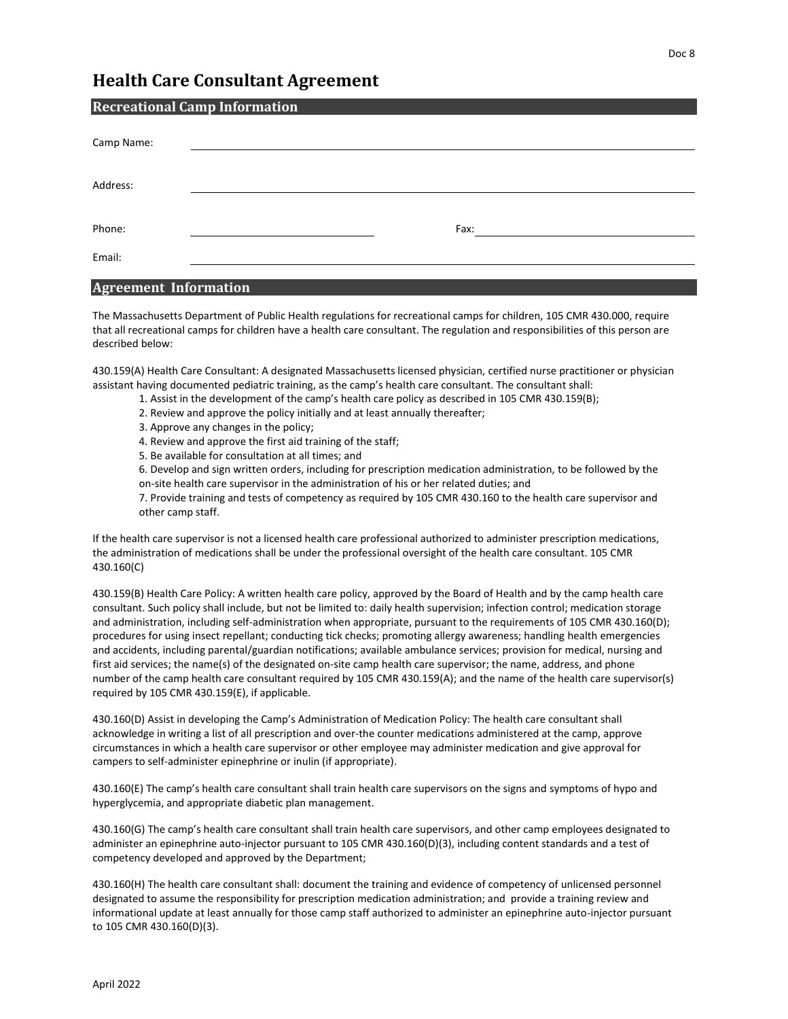## **Health Care Consultant Agreement**

| <b>Recreational Camp Information</b> |  |      |  |  |
|--------------------------------------|--|------|--|--|
| Camp Name:                           |  |      |  |  |
|                                      |  |      |  |  |
| Address:                             |  |      |  |  |
|                                      |  |      |  |  |
| Phone:                               |  | Fax: |  |  |
| Email:                               |  |      |  |  |
|                                      |  |      |  |  |

## **Agreement Information**

The Massachusetts Department of Public Health regulations for recreational camps for children, 105 CMR 430.000, require that all recreational camps for children have a health care consultant. The regulation and responsibilities of this person are described below:

430.159(A) Health Care Consultant: A designated Massachusetts licensed physician, certified nurse practitioner or physician assistant having documented pediatric training, as the camp's health care consultant. The consultant shall:

- 1. Assist in the development of the camp's health care policy as described in 105 CMR 430.159(B);
- 2. Review and approve the policy initially and at least annually thereafter;
- 3. Approve any changes in the policy;
- 4. Review and approve the first aid training of the staff;
- 5. Be available for consultation at all times; and

6. Develop and sign written orders, including for prescription medication administration, to be followed by the on-site health care supervisor in the administration of his or her related duties; and

7. Provide training and tests of competency as required by 105 CMR 430.160 to the health care supervisor and other camp staff.

If the health care supervisor is not a licensed health care professional authorized to administer prescription medications, the administration of medications shall be under the professional oversight of the health care consultant. 105 CMR 430.160(C)

430.159(B) Health Care Policy: A written health care policy, approved by the Board of Health and by the camp health care consultant. Such policy shall include, but not be limited to: daily health supervision; infection control; medication storage and administration, including self-administration when appropriate, pursuant to the requirements of 105 CMR 430.160(D); procedures for using insect repellant; conducting tick checks; promoting allergy awareness; handling health emergencies and accidents, including parental/guardian notifications; available ambulance services; provision for medical, nursing and first aid services; the name(s) of the designated on-site camp health care supervisor; the name, address, and phone number of the camp health care consultant required by 105 CMR 430.159(A); and the name of the health care supervisor(s) required by 105 CMR 430.159(E), if applicable.

430.160(D) Assist in developing the Camp's Administration of Medication Policy: The health care consultant shall acknowledge in writing a list of all prescription and over-the counter medications administered at the camp, approve circumstances in which a health care supervisor or other employee may administer medication and give approval for campers to self-administer epinephrine or inulin (if appropriate).

430.160(E) The camp's health care consultant shall train health care supervisors on the signs and symptoms of hypo and hyperglycemia, and appropriate diabetic plan management.

430.160(G) The camp's health care consultant shall train health care supervisors, and other camp employees designated to administer an epinephrine auto-injector pursuant to 105 CMR 430.160(D)(3), including content standards and a test of competency developed and approved by the Department;

430.160(H) The health care consultant shall: document the training and evidence of competency of unlicensed personnel designated to assume the responsibility for prescription medication administration; and provide a training review and informational update at least annually for those camp staff authorized to administer an epinephrine auto-injector pursuant to 105 CMR 430.160(D)(3).